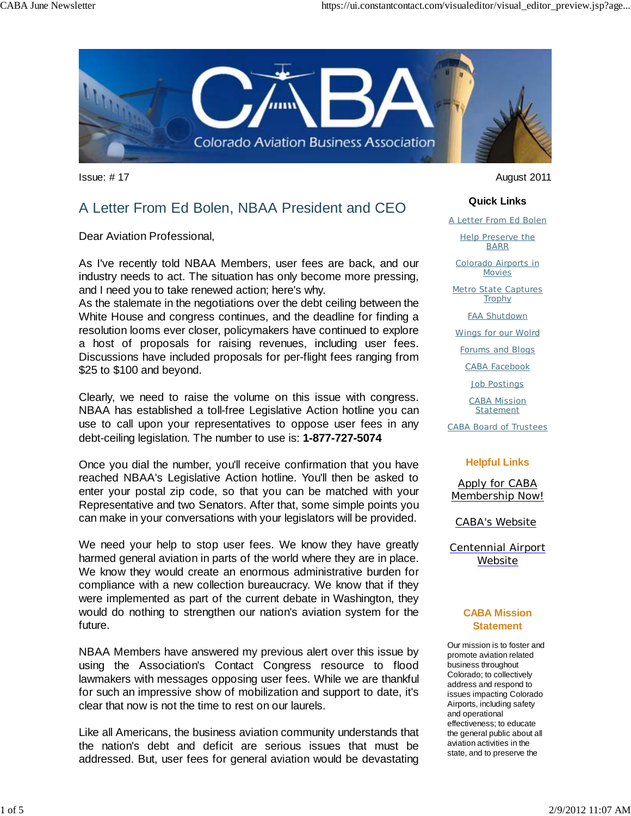

# A Letter From Ed Bolen, NBAA President and CEO

Dear Aviation Professional,

As I've recently told NBAA Members, user fees are back, and our industry needs to act. The situation has only become more pressing, and I need you to take renewed action; here's why.

As the stalemate in the negotiations over the debt ceiling between the White House and congress continues, and the deadline for finding a resolution looms ever closer, policymakers have continued to explore a host of proposals for raising revenues, including user fees. Discussions have included proposals for per-flight fees ranging from \$25 to \$100 and beyond.

Clearly, we need to raise the volume on this issue with congress. NBAA has established a toll-free Legislative Action hotline you can use to call upon your representatives to oppose user fees in any debt-ceiling legislation. The number to use is: **1-877-727-5074**

Once you dial the number, you'll receive confirmation that you have reached NBAA's Legislative Action hotline. You'll then be asked to enter your postal zip code, so that you can be matched with your Representative and two Senators. After that, some simple points you can make in your conversations with your legislators will be provided.

We need your help to stop user fees. We know they have greatly harmed general aviation in parts of the world where they are in place. We know they would create an enormous administrative burden for compliance with a new collection bureaucracy. We know that if they were implemented as part of the current debate in Washington, they would do nothing to strengthen our nation's aviation system for the future.

NBAA Members have answered my previous alert over this issue by using the Association's Contact Congress resource to flood lawmakers with messages opposing user fees. While we are thankful for such an impressive show of mobilization and support to date, it's clear that now is not the time to rest on our laurels.

Like all Americans, the business aviation community understands that the nation's debt and deficit are serious issues that must be addressed. But, user fees for general aviation would be devastating

Issue: # 17 August 2011

#### **Quick Links**

A Letter From Ed Bolen

Help Preserve the BARR

Colorado Airports in Movies

Metro State Captures **Trophy** 

FAA Shutdown

Wings for our Wolrd

Forums and Blogs

CABA Facebook

Job Postings

CABA Mission **Statement** 

CABA Board of Trustees

#### **Helpful Links**

Apply for CABA Membership Now!

CABA's Website

Centennial Airport Website

#### **CABA Mission Statement**

Our mission is to foster and promote aviation related business throughout Colorado; to collectively address and respond to issues impacting Colorado Airports, including safety and operational effectiveness; to educate the general public about all aviation activities in the state, and to preserve the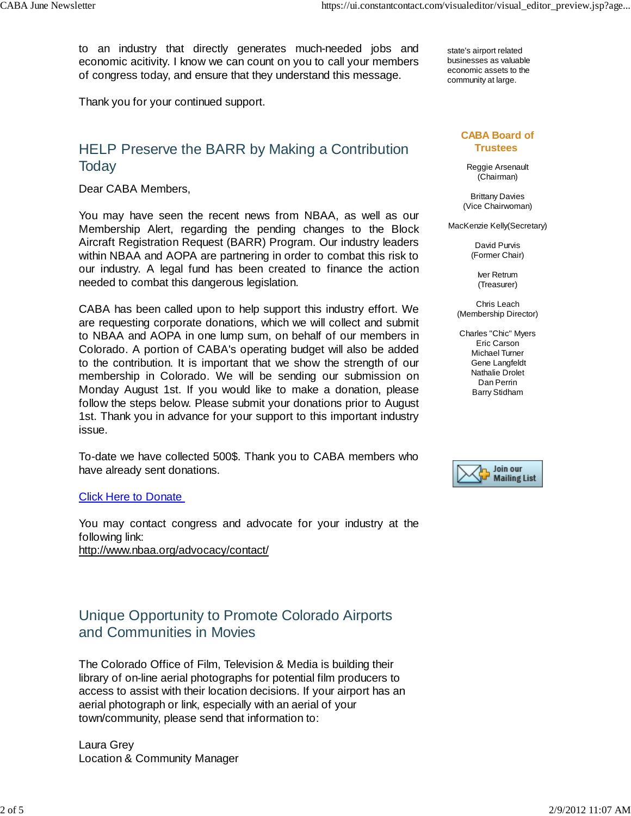to an industry that directly generates much-needed jobs and economic acitivity. I know we can count on you to call your members of congress today, and ensure that they understand this message.

Thank you for your continued support.

## HELP Preserve the BARR by Making a Contribution **Today**

Dear CABA Members,

You may have seen the recent news from NBAA, as well as our Membership Alert, regarding the pending changes to the Block Aircraft Registration Request (BARR) Program. Our industry leaders within NBAA and AOPA are partnering in order to combat this risk to our industry. A legal fund has been created to finance the action needed to combat this dangerous legislation.

CABA has been called upon to help support this industry effort. We are requesting corporate donations, which we will collect and submit to NBAA and AOPA in one lump sum, on behalf of our members in Colorado. A portion of CABA's operating budget will also be added to the contribution. It is important that we show the strength of our membership in Colorado. We will be sending our submission on Monday August 1st. If you would like to make a donation, please follow the steps below. Please submit your donations prior to August 1st. Thank you in advance for your support to this important industry issue.

To-date we have collected 500\$. Thank you to CABA members who have already sent donations.

#### **Click Here to Donate**

You may contact congress and advocate for your industry at the following link: http://www.nbaa.org/advocacy/contact/

## Unique Opportunity to Promote Colorado Airports and Communities in Movies

The Colorado Office of Film, Television & Media is building their library of on-line aerial photographs for potential film producers to access to assist with their location decisions. If your airport has an aerial photograph or link, especially with an aerial of your town/community, please send that information to:

Laura Grey Location & Community Manager

state's airport related businesses as valuable economic assets to the community at large.

#### **CABA Board of Trustees**

Reggie Arsenault (Chairman)

Brittany Davies (Vice Chairwoman)

MacKenzie Kelly(Secretary)

David Purvis (Former Chair)

> Iver Retrum (Treasurer)

Chris Leach (Membership Director)

Charles "Chic" Myers Eric Carson Michael Turner Gene Langfeldt Nathalie Drolet Dan Perrin Barry Stidham

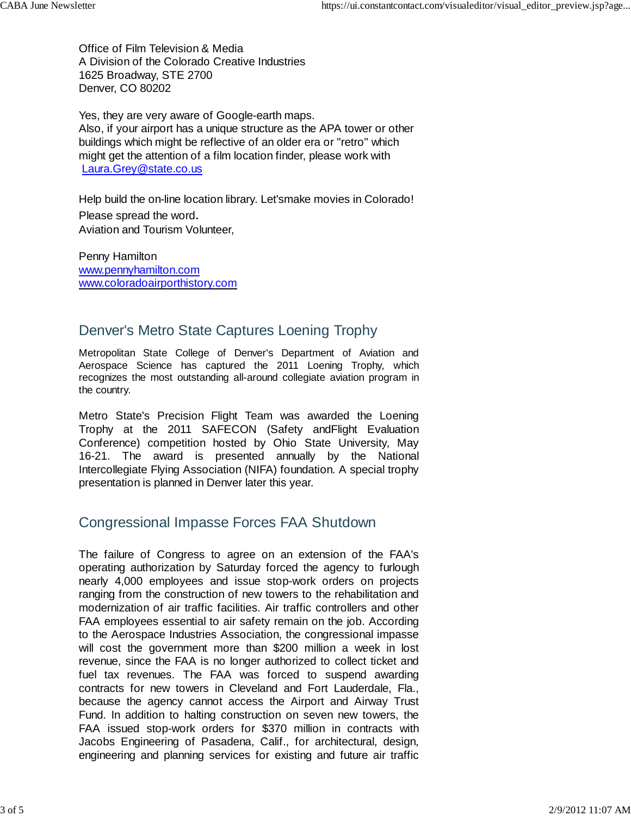Office of Film Television & Media A Division of the Colorado Creative Industries 1625 Broadway, STE 2700 Denver, CO 80202

Yes, they are very aware of Google-earth maps. Also, if your airport has a unique structure as the APA tower or other buildings which might be reflective of an older era or "retro" which might get the attention of a film location finder, please work with Laura.Grey@state.co.us

Help build the on-line location library. Let'smake movies in Colorado! Please spread the word. Aviation and Tourism Volunteer,

Penny Hamilton www.pennyhamilton.com www.coloradoairporthistory.com

## Denver's Metro State Captures Loening Trophy

Metropolitan State College of Denver's Department of Aviation and Aerospace Science has captured the 2011 Loening Trophy, which recognizes the most outstanding all-around collegiate aviation program in the country.

Metro State's Precision Flight Team was awarded the Loening Trophy at the 2011 SAFECON (Safety andFlight Evaluation Conference) competition hosted by Ohio State University, May 16-21. The award is presented annually by the National Intercollegiate Flying Association (NIFA) foundation. A special trophy presentation is planned in Denver later this year.

# Congressional Impasse Forces FAA Shutdown

The failure of Congress to agree on an extension of the FAA's operating authorization by Saturday forced the agency to furlough nearly 4,000 employees and issue stop-work orders on projects ranging from the construction of new towers to the rehabilitation and modernization of air traffic facilities. Air traffic controllers and other FAA employees essential to air safety remain on the job. According to the Aerospace Industries Association, the congressional impasse will cost the government more than \$200 million a week in lost revenue, since the FAA is no longer authorized to collect ticket and fuel tax revenues. The FAA was forced to suspend awarding contracts for new towers in Cleveland and Fort Lauderdale, Fla., because the agency cannot access the Airport and Airway Trust Fund. In addition to halting construction on seven new towers, the FAA issued stop-work orders for \$370 million in contracts with Jacobs Engineering of Pasadena, Calif., for architectural, design, engineering and planning services for existing and future air traffic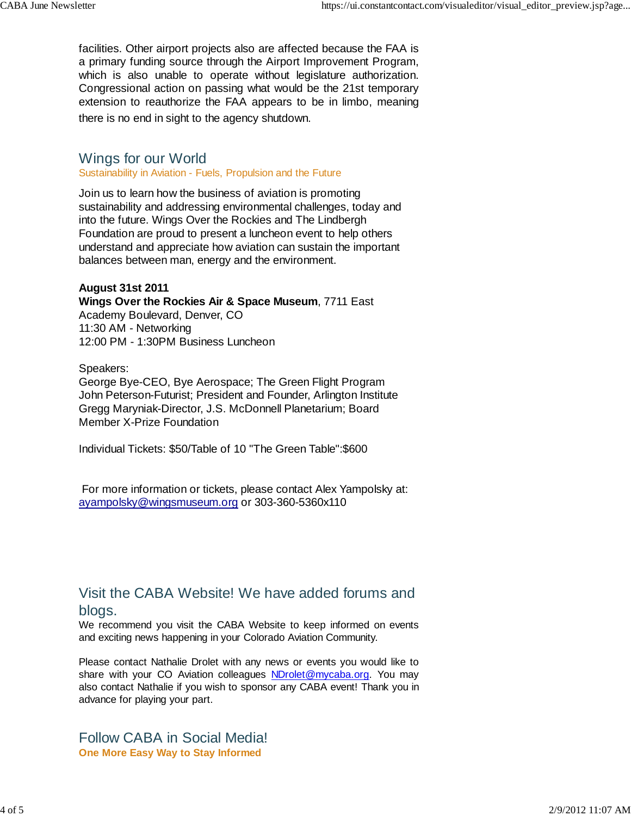facilities. Other airport projects also are affected because the FAA is a primary funding source through the Airport Improvement Program, which is also unable to operate without legislature authorization. Congressional action on passing what would be the 21st temporary extension to reauthorize the FAA appears to be in limbo, meaning there is no end in sight to the agency shutdown.

### Wings for our World

### Sustainability in Aviation - Fuels, Propulsion and the Future

Join us to learn how the business of aviation is promoting sustainability and addressing environmental challenges, today and into the future. Wings Over the Rockies and The Lindbergh Foundation are proud to present a luncheon event to help others understand and appreciate how aviation can sustain the important balances between man, energy and the environment.

### **August 31st 2011**

### **Wings Over the Rockies Air & Space Museum**, 7711 East

Academy Boulevard, Denver, CO 11:30 AM - Networking 12:00 PM - 1:30PM Business Luncheon

### Speakers:

George Bye-CEO, Bye Aerospace; The Green Flight Program John Peterson-Futurist; President and Founder, Arlington Institute Gregg Maryniak-Director, J.S. McDonnell Planetarium; Board Member X-Prize Foundation

Individual Tickets: \$50/Table of 10 "The Green Table":\$600

 For more information or tickets, please contact Alex Yampolsky at: ayampolsky@wingsmuseum.org or 303-360-5360x110

### Visit the CABA Website! We have added forums and blogs.

We recommend you visit the CABA Website to keep informed on events and exciting news happening in your Colorado Aviation Community.

Please contact Nathalie Drolet with any news or events you would like to share with your CO Aviation colleagues NDrolet@mycaba.org. You may also contact Nathalie if you wish to sponsor any CABA event! Thank you in advance for playing your part.

Follow CABA in Social Media! **One More Easy Way to Stay Informed**